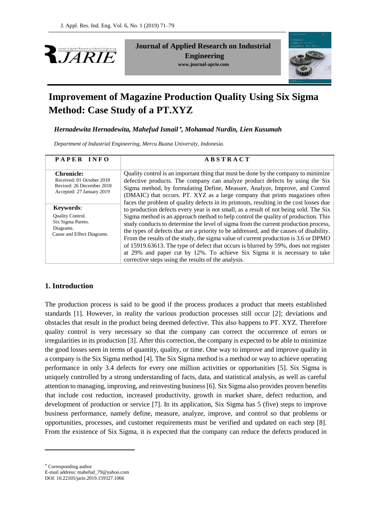



# **Improvement of Magazine Production Quality Using Six Sigma Method: Case Study of a PT.XYZ**

*Hernadewita Hernadewita, Mahefud Ismail , Mohamad Nurdin, Lien Kusumah*

*Department of Industrial Engineering, Mercu Buana University, Indonesia.* 

| PAPER INFO                                                                                               | <b>ABSTRACT</b>                                                                                                                                                                                                                                                                                                                                                                                                                                                                                                                                                                                                                                                                 |
|----------------------------------------------------------------------------------------------------------|---------------------------------------------------------------------------------------------------------------------------------------------------------------------------------------------------------------------------------------------------------------------------------------------------------------------------------------------------------------------------------------------------------------------------------------------------------------------------------------------------------------------------------------------------------------------------------------------------------------------------------------------------------------------------------|
| <b>Chronicle:</b><br>Received: 01 October 2018<br>Revised: 26 December 2018<br>Accepted: 27 January 2019 | Quality control is an important thing that must be done by the company to minimize<br>defective products. The company can analyze product defects by using the Six<br>Sigma method, by formulating Define, Measure, Analyze, Improve, and Control<br>(DMAIC) that occurs. PT. XYZ as a large company that prints magazines often<br>faces the problem of quality defects in its printouts, resulting in the cost losses due                                                                                                                                                                                                                                                     |
| Keywords:<br><b>Ouality Control.</b><br>Six Sigma Pareto.<br>Diagrams.<br>Cause and Effect Diagrams.     | to production defects every year is not small, as a result of not being sold. The Six<br>Sigma method is an approach method to help control the quality of production. This<br>study conducts to determine the level of sigma from the current production process,<br>the types of defects that are a priority to be addressed, and the causes of disability.<br>From the results of the study, the sigma value of current production is 3.6 or DPMO<br>of 15919.63613. The type of defect that occurs is blurred by 59%, does not register<br>at 29% and paper cut by 12%. To achieve Six Sigma it is necessary to take<br>corrective steps using the results of the analysis. |

## **1. Introduction**

The production process is said to be good if the process produces a product that meets established standards [1]. However, in reality the various production processes still occur [2]; deviations and obstacles that result in the product being deemed defective. This also happens to PT. XYZ. Therefore quality control is very necessary so that the company can correct the occurrence of errors or irregularities in its production [3]. After this correction, the company is expected to be able to minimize the good losses seen in terms of quantity, quality, or time. One way to improve and improve quality in a company is the Six Sigma method [4]. The Six Sigma method is a method or way to achieve operating performance in only 3.4 defects for every one million activities or opportunities [5]. Six Sigma is uniquely controlled by a strong understanding of facts, data, and statistical analysis, as well as careful attention to managing, improving, and reinvesting business [6]. Six Sigma also provides proven benefits that include cost reduction, increased productivity, growth in market share, defect reduction, and development of production or service [7]. In its application, Six Sigma has 5 (five) steps to improve business performance, namely define, measure, analyze, improve, and control so that problems or opportunities, processes, and customer requirements must be verified and updated on each step [8]. From the existence of Six Sigma, it is expected that the company can reduce the defects produced in

Corresponding author

1

E-mail address: mahefud\_79@yahoo.com DOI: 10.22105/jarie.2019.159327.1066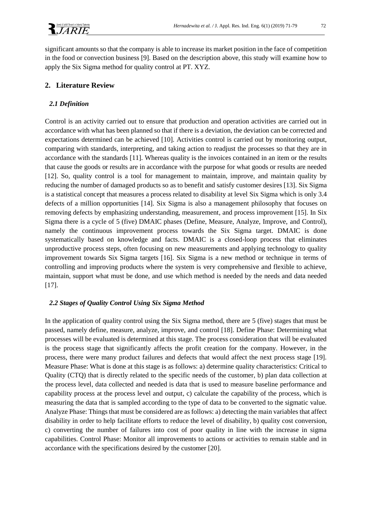

significant amounts so that the company is able to increase its market position in the face of competition in the food or convection business [9]. Based on the description above, this study will examine how to apply the Six Sigma method for quality control at PT. XYZ.

# **2. Literature Review**

### *2.1 Definition*

Control is an activity carried out to ensure that production and operation activities are carried out in accordance with what has been planned so that if there is a deviation, the deviation can be corrected and expectations determined can be achieved [10]. Activities control is carried out by monitoring output, comparing with standards, interpreting, and taking action to readjust the processes so that they are in accordance with the standards [11]. Whereas quality is the invoices contained in an item or the results that cause the goods or results are in accordance with the purpose for what goods or results are needed [12]. So, quality control is a tool for management to maintain, improve, and maintain quality by reducing the number of damaged products so as to benefit and satisfy customer desires [13]. Six Sigma is a statistical concept that measures a process related to disability at level Six Sigma which is only 3.4 defects of a million opportunities [14]. Six Sigma is also a management philosophy that focuses on removing defects by emphasizing understanding, measurement, and process improvement [15]. In Six Sigma there is a cycle of 5 (five) DMAIC phases (Define, Measure, Analyze, Improve, and Control), namely the continuous improvement process towards the Six Sigma target. DMAIC is done systematically based on knowledge and facts. DMAIC is a closed-loop process that eliminates unproductive process steps, often focusing on new measurements and applying technology to quality improvement towards Six Sigma targets [16]. Six Sigma is a new method or technique in terms of controlling and improving products where the system is very comprehensive and flexible to achieve, maintain, support what must be done, and use which method is needed by the needs and data needed [17].

### *2.2 Stages of Quality Control Using Six Sigma Method*

In the application of quality control using the Six Sigma method, there are 5 (five) stages that must be passed, namely define, measure, analyze, improve, and control [18]. Define Phase: Determining what processes will be evaluated is determined at this stage. The process consideration that will be evaluated is the process stage that significantly affects the profit creation for the company. However, in the process, there were many product failures and defects that would affect the next process stage [19]. Measure Phase: What is done at this stage is as follows: a) determine quality characteristics: Critical to Quality (CTQ) that is directly related to the specific needs of the customer, b) plan data collection at the process level, data collected and needed is data that is used to measure baseline performance and capability process at the process level and output, c) calculate the capability of the process, which is measuring the data that is sampled according to the type of data to be converted to the sigmatic value. Analyze Phase: Things that must be considered are as follows: a) detecting the main variables that affect disability in order to help facilitate efforts to reduce the level of disability, b) quality cost conversion, c) converting the number of failures into cost of poor quality in line with the increase in sigma capabilities. Control Phase: Monitor all improvements to actions or activities to remain stable and in accordance with the specifications desired by the customer [20].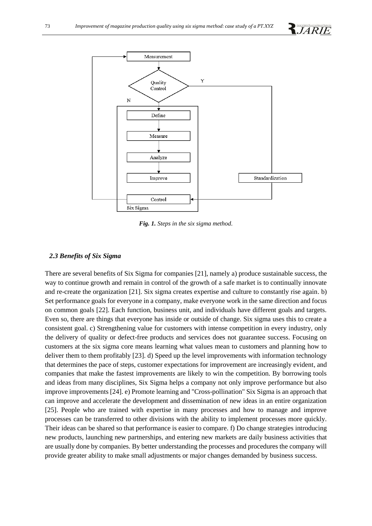



*Fig. 1. Steps in the six sigma method.*

### *2.3 Benefits of Six Sigma*

There are several benefits of Six Sigma for companies [21], namely a) produce sustainable success, the way to continue growth and remain in control of the growth of a safe market is to continually innovate and re-create the organization [21]. Six sigma creates expertise and culture to constantly rise again. b) Set performance goals for everyone in a company, make everyone work in the same direction and focus on common goals [22]. Each function, business unit, and individuals have different goals and targets. Even so, there are things that everyone has inside or outside of change. Six sigma uses this to create a consistent goal. c) Strengthening value for customers with intense competition in every industry, only the delivery of quality or defect-free products and services does not guarantee success. Focusing on customers at the six sigma core means learning what values mean to customers and planning how to deliver them to them profitably [23]. d) Speed up the level improvements with information technology that determines the pace of steps, customer expectations for improvement are increasingly evident, and companies that make the fastest improvements are likely to win the competition. By borrowing tools and ideas from many disciplines, Six Sigma helps a company not only improve performance but also improve improvements [24]. e) Promote learning and "Cross-pollination" Six Sigma is an approach that can improve and accelerate the development and dissemination of new ideas in an entire organization [25]. People who are trained with expertise in many processes and how to manage and improve processes can be transferred to other divisions with the ability to implement processes more quickly. Their ideas can be shared so that performance is easier to compare. f) Do change strategies introducing new products, launching new partnerships, and entering new markets are daily business activities that are usually done by companies. By better understanding the processes and procedures the company will provide greater ability to make small adjustments or major changes demanded by business success.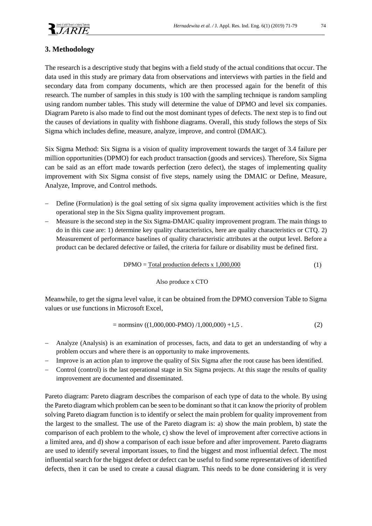

# **3. Methodology**

The research is a descriptive study that begins with a field study of the actual conditions that occur. The data used in this study are primary data from observations and interviews with parties in the field and secondary data from company documents, which are then processed again for the benefit of this research. The number of samples in this study is 100 with the sampling technique is random sampling using random number tables. This study will determine the value of DPMO and level six companies. Diagram Pareto is also made to find out the most dominant types of defects. The next step is to find out the causes of deviations in quality with fishbone diagrams. Overall, this study follows the steps of Six Sigma which includes define, measure, analyze, improve, and control (DMAIC).

Six Sigma Method: Six Sigma is a vision of quality improvement towards the target of 3.4 failure per million opportunities (DPMO) for each product transaction (goods and services). Therefore, Six Sigma can be said as an effort made towards perfection (zero defect), the stages of implementing quality improvement with Six Sigma consist of five steps, namely using the DMAIC or Define, Measure, Analyze, Improve, and Control methods.

- Define (Formulation) is the goal setting of six sigma quality improvement activities which is the first operational step in the Six Sigma quality improvement program.
- Measure is the second step in the Six Sigma-DMAIC quality improvement program. The main things to do in this case are: 1) determine key quality characteristics, here are quality characteristics or CTQ. 2) Measurement of performance baselines of quality characteristic attributes at the output level. Before a product can be declared defective or failed, the criteria for failure or disability must be defined first.

$$
DPMO = \underline{\text{Total production defects x 1,000,000}} \tag{1}
$$

#### Also produce x CTO

Meanwhile, to get the sigma level value, it can be obtained from the DPMO conversion Table to Sigma values or use functions in Microsoft Excel,

$$
= \text{normsinv} \left( (1,000,000 - \text{PMO}) / 1,000,000 \right) + 1,5 \tag{2}
$$

- Analyze (Analysis) is an examination of processes, facts, and data to get an understanding of why a problem occurs and where there is an opportunity to make improvements.
- Improve is an action plan to improve the quality of Six Sigma after the root cause has been identified.
- Control (control) is the last operational stage in Six Sigma projects. At this stage the results of quality improvement are documented and disseminated.

Pareto diagram: Pareto diagram describes the comparison of each type of data to the whole. By using the Pareto diagram which problem can be seen to be dominant so that it can know the priority of problem solving Pareto diagram function is to identify or select the main problem for quality improvement from the largest to the smallest. The use of the Pareto diagram is: a) show the main problem, b) state the comparison of each problem to the whole, c) show the level of improvement after corrective actions in a limited area, and d) show a comparison of each issue before and after improvement. Pareto diagrams are used to identify several important issues, to find the biggest and most influential defect. The most influential search for the biggest defect or defect can be useful to find some representatives of identified defects, then it can be used to create a causal diagram. This needs to be done considering it is very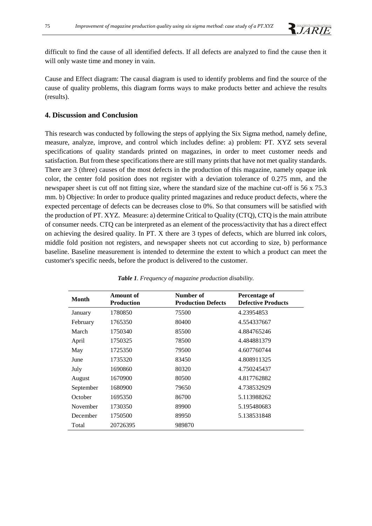difficult to find the cause of all identified defects. If all defects are analyzed to find the cause then it will only waste time and money in vain.

Cause and Effect diagram: The causal diagram is used to identify problems and find the source of the cause of quality problems, this diagram forms ways to make products better and achieve the results (results).

# **4. Discussion and Conclusion**

This research was conducted by following the steps of applying the Six Sigma method, namely define, measure, analyze, improve, and control which includes define: a) problem: PT. XYZ sets several specifications of quality standards printed on magazines, in order to meet customer needs and satisfaction. But from these specifications there are still many prints that have not met quality standards. There are 3 (three) causes of the most defects in the production of this magazine, namely opaque ink color, the center fold position does not register with a deviation tolerance of 0.275 mm, and the newspaper sheet is cut off not fitting size, where the standard size of the machine cut-off is 56 x 75.3 mm. b) Objective: In order to produce quality printed magazines and reduce product defects, where the expected percentage of defects can be decreases close to 0%. So that consumers will be satisfied with the production of PT. XYZ. Measure: a) determine Critical to Quality (CTQ), CTQ is the main attribute of consumer needs. CTQ can be interpreted as an element of the process/activity that has a direct effect on achieving the desired quality. In PT. X there are 3 types of defects, which are blurred ink colors, middle fold position not registers, and newspaper sheets not cut according to size, b) performance baseline. Baseline measurement is intended to determine the extent to which a product can meet the customer's specific needs, before the product is delivered to the customer.

| <b>Month</b> | <b>Amount of</b><br><b>Production</b> | Number of<br><b>Production Defects</b> | <b>Percentage of</b><br><b>Defective Products</b> |
|--------------|---------------------------------------|----------------------------------------|---------------------------------------------------|
| January      | 1780850                               | 75500                                  | 4.23954853                                        |
| February     | 1765350                               | 80400                                  | 4.554337667                                       |
| March        | 1750340                               | 85500                                  | 4.884765246                                       |
| April        | 1750325                               | 78500                                  | 4.484881379                                       |
| May          | 1725350                               | 79500                                  | 4.607760744                                       |
| June         | 1735320                               | 83450                                  | 4.808911325                                       |
| July         | 1690860                               | 80320                                  | 4.750245437                                       |
| August       | 1670900                               | 80500                                  | 4.817762882                                       |
| September    | 1680900                               | 79650                                  | 4.738532929                                       |
| October      | 1695350                               | 86700                                  | 5.113988262                                       |
| November     | 1730350                               | 89900                                  | 5.195480683                                       |
| December     | 1750500                               | 89950                                  | 5.138531848                                       |
| Total        | 20726395                              | 989870                                 |                                                   |

*Table 1. Frequency of magazine production disability.*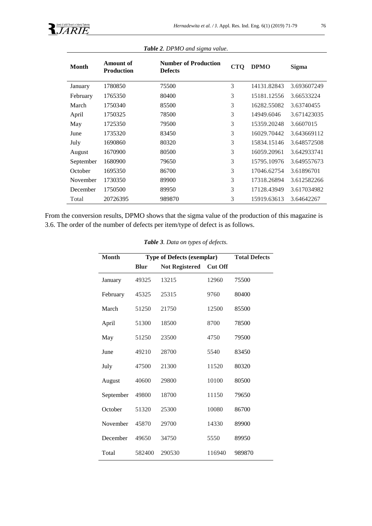

| <b>Month</b> | Amount of<br><b>Production</b> | <b>Number of Production</b><br><b>Defects</b> | <b>CTQ</b> | <b>DPMO</b> | <b>Sigma</b> |
|--------------|--------------------------------|-----------------------------------------------|------------|-------------|--------------|
| January      | 1780850                        | 75500                                         | 3          | 14131.82843 | 3.693607249  |
| February     | 1765350                        | 80400                                         | 3          | 15181.12556 | 3.66533224   |
| March        | 1750340                        | 85500                                         | 3          | 16282.55082 | 3.63740455   |
| April        | 1750325                        | 78500                                         | 3          | 14949.6046  | 3.671423035  |
| May          | 1725350                        | 79500                                         | 3          | 15359.20248 | 3.6607015    |
| June         | 1735320                        | 83450                                         | 3          | 16029.70442 | 3.643669112  |
| July         | 1690860                        | 80320                                         | 3          | 15834.15146 | 3.648572508  |
| August       | 1670900                        | 80500                                         | 3          | 16059.20961 | 3.642933741  |
| September    | 1680900                        | 79650                                         | 3          | 15795.10976 | 3.649557673  |
| October      | 1695350                        | 86700                                         | 3          | 17046.62754 | 3.61896701   |
| November     | 1730350                        | 89900                                         | 3          | 17318.26894 | 3.612582266  |
| December     | 1750500                        | 89950                                         | 3          | 17128.43949 | 3.617034982  |
| Total        | 20726395                       | 989870                                        | 3          | 15919.63613 | 3.64642267   |

*Table 2. DPMO and sigma value.*

From the conversion results, DPMO shows that the sigma value of the production of this magazine is 3.6. The order of the number of defects per item/type of defect is as follows.

|  | Table 3. Data on types of defects. |
|--|------------------------------------|
|--|------------------------------------|

| <b>Month</b> | <b>Type of Defects (exemplar)</b> |                       |                | <b>Total Defects</b> |
|--------------|-----------------------------------|-----------------------|----------------|----------------------|
|              | <b>Blur</b>                       | <b>Not Registered</b> | <b>Cut Off</b> |                      |
| January      | 49325                             | 13215                 | 12960          | 75500                |
| February     | 45325                             | 25315                 | 9760           | 80400                |
| March        | 51250                             | 21750                 | 12500          | 85500                |
| April        | 51300                             | 18500                 | 8700           | 78500                |
| May          | 51250                             | 23500                 | 4750           | 79500                |
| June         | 49210                             | 28700                 | 5540           | 83450                |
| July         | 47500                             | 21300                 | 11520          | 80320                |
| August       | 40600                             | 29800                 | 10100          | 80500                |
| September    | 49800                             | 18700                 | 11150          | 79650                |
| October      | 51320                             | 25300                 | 10080          | 86700                |
| November     | 45870                             | 29700                 | 14330          | 89900                |
| December     | 49650                             | 34750                 | 5550           | 89950                |
| Total        | 582400                            | 290530                | 116940         | 989870               |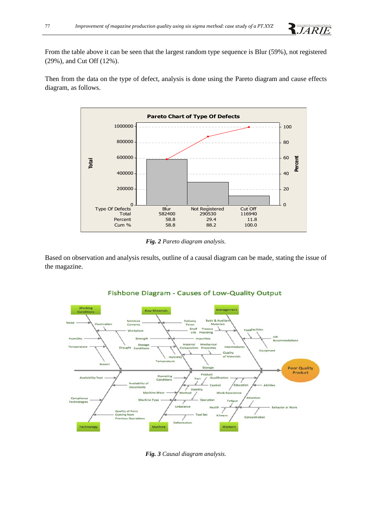

From the table above it can be seen that the largest random type sequence is Blur (59%), not registered (29%), and Cut Off (12%).

Then from the data on the type of defect, analysis is done using the Pareto diagram and cause effects diagram, as follows.



*Fig. 2 Pareto diagram analysis.*

Based on observation and analysis results, outline of a causal diagram can be made, stating the issue of the magazine.



# Fishbone Diagram - Causes of Low-Quality Output

*Fig. 3 Causal diagram analysis.*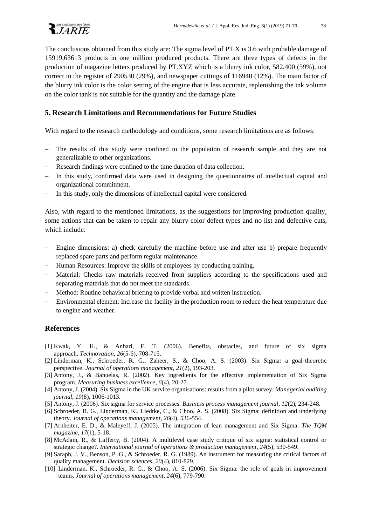The conclusions obtained from this study are: The sigma level of PT.X is 3.6 with probable damage of 15919,63613 products in one million produced products. There are three types of defects in the production of magazine letters produced by PT.XYZ which is a blurry ink color, 582,400 (59%), not correct in the register of 290530 (29%), and newspaper cuttings of 116940 (12%). The main factor of the blurry ink color is the color setting of the engine that is less accurate, replenishing the ink volume on the color tank is not suitable for the quantity and the damage plate.

### **5. Research Limitations and Recommendations for Future Studies**

With regard to the research methodology and conditions, some research limitations are as follows:

- The results of this study were confined to the population of research sample and they are not generalizable to other organizations.
- Research findings were confined to the time duration of data collection.
- In this study, confirmed data were used in designing the questionnaires of intellectual capital and organizational commitment.
- In this study, only the dimensions of intellectual capital were considered.

Also, with regard to the mentioned limitations, as the suggestions for improving production quality, some actions that can be taken to repair any blurry color defect types and no list and defective cuts, which include:

- Engine dimensions: a) check carefully the machine before use and after use b) prepare frequently replaced spare parts and perform regular maintenance.
- Human Resources: Improve the skills of employees by conducting training.
- Material: Checks raw materials received from suppliers according to the specifications used and separating materials that do not meet the standards.
- Method: Routine behavioral briefing to provide verbal and written instruction.
- Environmental element: Increase the facility in the production room to reduce the heat temperature due to engine and weather.

## **References**

- [1] Kwak, Y. H., & Anbari, F. T. (2006). Benefits, obstacles, and future of six sigma approach. *Technovation*, *26*(5-6), 708-715.
- [2] Linderman, K., Schroeder, R. G., Zaheer, S., & Choo, A. S. (2003). Six Sigma: a goal‐theoretic perspective. *Journal of operations management*, *21*(2), 193-203.
- [3] Antony, J., & Banuelas, R. (2002). Key ingredients for the effective implementation of Six Sigma program. *Measuring business excellence*, *6*(4), 20-27.
- [4] Antony, J. (2004). Six Sigma in the UK service organisations: results from a pilot survey. *Managerial auditing journal*, *19*(8), 1006-1013.
- [5] Antony, J. (2006). Six sigma for service processes. *Business process management journal*, *12*(2), 234-248.
- [6] Schroeder, R. G., Linderman, K., Liedtke, C., & Choo, A. S. (2008). Six Sigma: definition and underlying theory. *Journal of operations management*, *26*(4), 536-554.
- [7] Arnheiter, E. D., & Maleyeff, J. (2005). The integration of lean management and Six Sigma. *The TQM magazine*, *17*(1), 5-18.
- [8] McAdam, R., & Lafferty, B. (2004). A multilevel case study critique of six sigma: statistical control or strategic change?. *International journal of operations & production management*, *24*(5), 530-549.
- [9] Saraph, J. V., Benson, P. G., & Schroeder, R. G. (1989). An instrument for measuring the critical factors of quality management. *Decision sciences*, *20*(4), 810-829.
- [10] Linderman, K., Schroeder, R. G., & Choo, A. S. (2006). Six Sigma: the role of goals in improvement teams. *Journal of operations management*, *24*(6), 779-790.